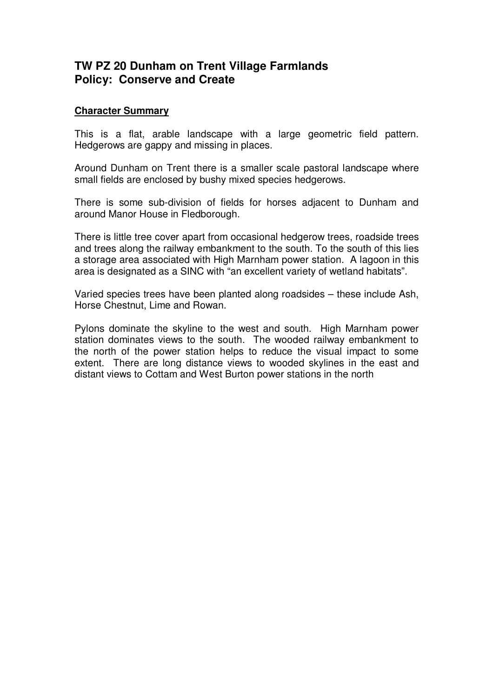## **TW PZ 20 Dunham on Trent Village Farmlands Policy: Conserve and Create**

## **Character Summary**

This is a flat, arable landscape with a large geometric field pattern. Hedgerows are gappy and missing in places.

Around Dunham on Trent there is a smaller scale pastoral landscape where small fields are enclosed by bushy mixed species hedgerows.

There is some sub-division of fields for horses adjacent to Dunham and around Manor House in Fledborough.

There is little tree cover apart from occasional hedgerow trees, roadside trees and trees along the railway embankment to the south. To the south of this lies a storage area associated with High Marnham power station. A lagoon in this area is designated as a SINC with "an excellent variety of wetland habitats".

Varied species trees have been planted along roadsides – these include Ash, Horse Chestnut, Lime and Rowan.

Pylons dominate the skyline to the west and south. High Marnham power station dominates views to the south. The wooded railway embankment to the north of the power station helps to reduce the visual impact to some extent. There are long distance views to wooded skylines in the east and distant views to Cottam and West Burton power stations in the north